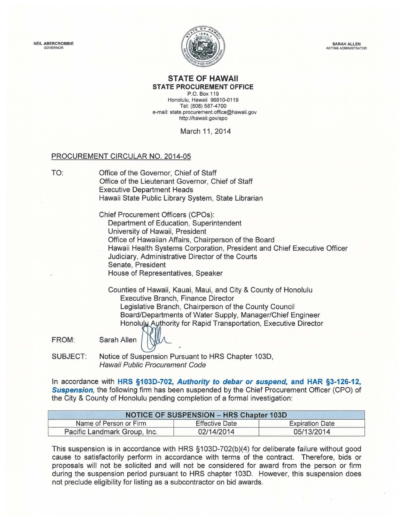NEIL ABERCROMBIE GOVERNOR



SARAH ALLEN ACTING ADMINISTRATOR

## **STATE OF HAWAII STATE PROCUREMENT OFFICE**

P.O. Box 119 Honolulu, Hawaii 96810-0119 Tel: (808) 587-4700 e-mail: state.procurement.office@hawaii.gov http://hawaii.gov/spo

March 11, 2014

## PROCUREMENT CIRCULAR NO. 2014-05

TO: Office of the Governor, Chief of Staff Office of the Lieutenant Governor, Chief of Staff Executive Department Heads Hawaii State Public Library System, State Librarian

> Chief Procurement Officers (CPOs): Department of Education, Superintendent University of Hawaii, President Office of Hawaiian Affairs , Chairperson of the Board Hawaii Health Systems Corporation, President and Chief Executive Officer Judiciary, Administrative Director of the Courts Senate, President House of Representatives, Speaker

Counties of Hawaii, Kauai, Maui, and City & County of Honolulu Executive Branch, Finance Director Legislative Branch, Chairperson of the County Council Board/Departments of Water Supply, Manager/Chief Engineer Board/Departments of Water Supply, Manager/Chief Engineer<br>Honolulu Authority for Rapid Transportation, Executive Director<br>Sarah Allen **MAL** 

FROM:

SUBJECT: Notice of Suspension Pursuant to HRS Chapter 103D, Hawaii Public Procurement Code

In accordance with **HRS §1030-702, Authority to debar or suspend, and HAR §3-126-12, Suspension**, the following firm has been suspended by the Chief Procurement Officer (CPO) of the City & County of Honolulu pending completion of a formal investigation:

| <b>NOTICE OF SUSPENSION - HRS Chapter 103D</b> |                       |                        |
|------------------------------------------------|-----------------------|------------------------|
| Name of Person or Firm                         | <b>Effective Date</b> | <b>Expiration Date</b> |
| Pacific Landmark Group, Inc.                   | 02/14/2014            | 05/13/2014             |

This suspension is in accordance with HRS §103D-702(b)(4) for deliberate failure without good cause to satisfactorily perform in accordance with terms of the contract. Therefore, bids or proposals will not be solicited and will not be considered for award from the person or firm during the suspension period pursuant to HRS chapter 103D. However, this suspension does not preclude eligibility for listing as a subcontractor on bid awards.